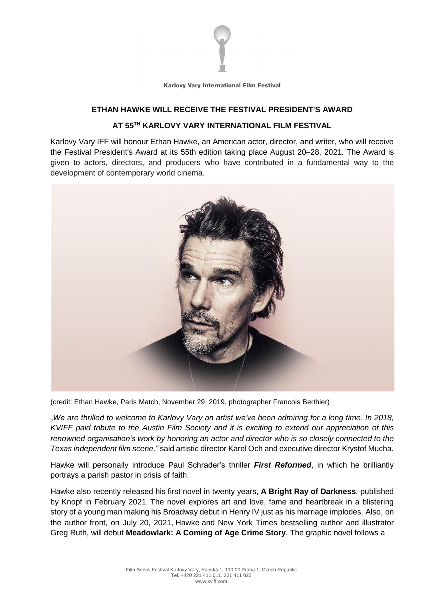

Karlovy Vary International Film Festival

## **ETHAN HAWKE WILL RECEIVE THE FESTIVAL PRESIDENT'S AWARD AT 55TH KARLOVY VARY INTERNATIONAL FILM FESTIVAL**

Karlovy Vary IFF will honour Ethan Hawke, an American actor, director, and writer, who will receive the Festival President's Award at its 55th edition taking place August 20–28, 2021. The Award is given to actors, directors, and producers who have contributed in a fundamental way to the development of contemporary world cinema.



(credit: Ethan Hawke, Paris Match, November 29, 2019, photographer Francois Berthier)

"We are thrilled to welcome to Karlovy Vary an artist we've been admiring for a long time. In 2018, KVIFF paid tribute to the Austin Film Society and it is exciting to extend our appreciation of this *renowned organisation's work by honoring an actor and director who is so closely connected to the Texas independent film scene,"* said artistic director Karel Och and executive director Krystof Mucha.

Hawke will personally introduce Paul Schrader's thriller *First Reformed*, in which he brilliantly portrays a parish pastor in crisis of faith.

Hawke also recently released his first novel in twenty years, **A Bright Ray of Darkness**, published by Knopf in February 2021. The novel explores art and love, fame and heartbreak in a blistering story of a young man making his Broadway debut in Henry IV just as his marriage implodes. Also, on the author front, on July 20, 2021, Hawke and New York Times bestselling author and illustrator Greg Ruth, will debut **Meadowlark: A Coming of Age Crime Story**. The graphic novel follows a